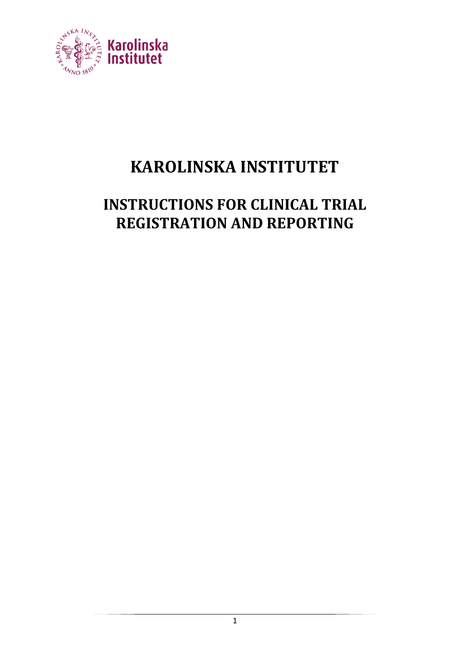

# **KAROLINSKA INSTITUTET**

## **INSTRUCTIONS FOR CLINICAL TRIAL REGISTRATION AND REPORTING**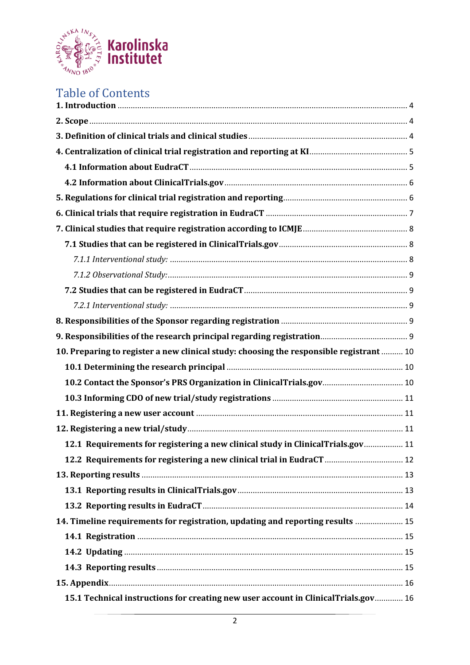

## Table of Contents

| 10. Preparing to register a new clinical study: choosing the responsible registrant  10 |  |
|-----------------------------------------------------------------------------------------|--|
|                                                                                         |  |
| 10.2 Contact the Sponsor's PRS Organization in ClinicalTrials.gov 10                    |  |
|                                                                                         |  |
|                                                                                         |  |
|                                                                                         |  |
| 12.1 Requirements for registering a new clinical study in ClinicalTrials.gov 11         |  |
| 12.2 Requirements for registering a new clinical trial in EudraCT  12                   |  |
|                                                                                         |  |
|                                                                                         |  |
|                                                                                         |  |
| 14. Timeline requirements for registration, updating and reporting results  15          |  |
|                                                                                         |  |
|                                                                                         |  |
|                                                                                         |  |
|                                                                                         |  |
| 15.1 Technical instructions for creating new user account in ClinicalTrials.gov 16      |  |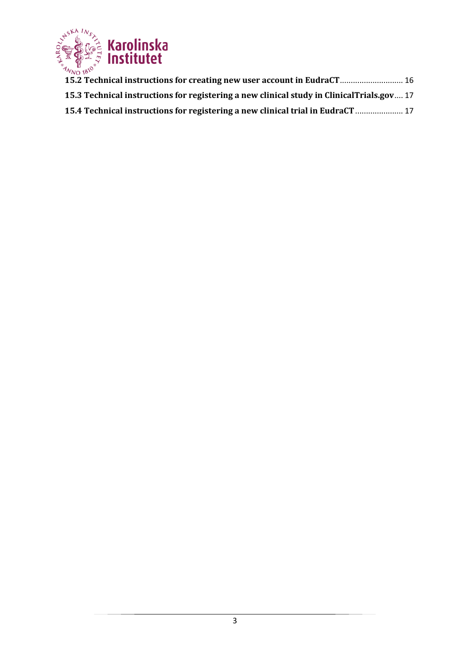

**[15.2 Technical instructions for creating new user account in EudraCT](#page-15-2)**............................. [16](#page-15-2) **[15.3 Technical instructions for registering a new clinical study in ClinicalTrials.gov](#page-16-0)**.... [17](#page-16-0) **[15.4 Technical instructions for registering a new clinical trial in EudraCT](#page-16-1)**...................... [17](#page-16-1)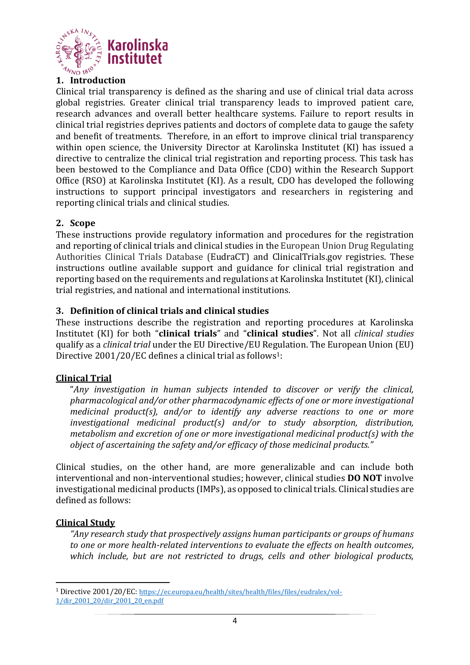

#### <span id="page-3-0"></span>**1. Introduction**

Clinical trial transparency is defined as the sharing and use of clinical trial data across global registries. Greater clinical trial transparency leads to improved patient care, research advances and overall better healthcare systems. Failure to report results in clinical trial registries deprives patients and doctors of complete data to gauge the safety and benefit of treatments. Therefore, in an effort to improve clinical trial transparency within open science, the University Director at Karolinska Institutet (KI) has issued a directive to centralize the clinical trial registration and reporting process. This task has been bestowed to the Compliance and Data Office (CDO) within the Research Support Office (RSO) at Karolinska Institutet (KI). As a result, CDO has developed the following instructions to support principal investigators and researchers in registering and reporting clinical trials and clinical studies.

#### <span id="page-3-1"></span>**2. Scope**

These instructions provide regulatory information and procedures for the registration and reporting of clinical trials and clinical studies in the European Union Drug Regulating Authorities Clinical Trials Database (EudraCT) and ClinicalTrials.gov registries. These instructions outline available support and guidance for clinical trial registration and reporting based on the requirements and regulations at Karolinska Institutet (KI), clinical trial registries, and national and international institutions.

#### <span id="page-3-2"></span>**3. Definition of clinical trials and clinical studies**

These instructions describe the registration and reporting procedures at Karolinska Institutet (KI) for both "**clinical trials**" and "**clinical studies**". Not all *clinical studies* qualify as a *clinical trial* under the EU Directive/EU Regulation. The European Union (EU) Directive 2001/20/EC defines a clinical trial as follows<sup>1</sup>:

#### **Clinical Trial**

"*Any investigation in human subjects intended to discover or verify the clinical, pharmacological and/or other pharmacodynamic effects of one or more investigational medicinal product(s), and/or to identify any adverse reactions to one or more investigational medicinal product(s) and/or to study absorption, distribution, metabolism and excretion of one or more investigational medicinal product(s) with the object of ascertaining the safety and/or efficacy of those medicinal products."*

Clinical studies, on the other hand, are more generalizable and can include both interventional and non-interventional studies; however, clinical studies **DO NOT** involve investigational medicinal products (IMPs), as opposed to clinical trials. Clinical studies are defined as follows:

#### **Clinical Study**

*"Any research study that prospectively assigns human participants or groups of humans to one or more health-related interventions to evaluate the effects on health outcomes, which include, but are not restricted to drugs, cells and other biological products,* 

<sup>&</sup>lt;sup>1</sup> Directive 2001/20/EC: [https://ec.europa.eu/health/sites/health/files/files/eudralex/vol-](https://ec.europa.eu/health/sites/health/files/files/eudralex/vol-1/dir_2001_20/dir_2001_20_en.pdf)[1/dir\\_2001\\_20/dir\\_2001\\_20\\_en.pdf](https://ec.europa.eu/health/sites/health/files/files/eudralex/vol-1/dir_2001_20/dir_2001_20_en.pdf)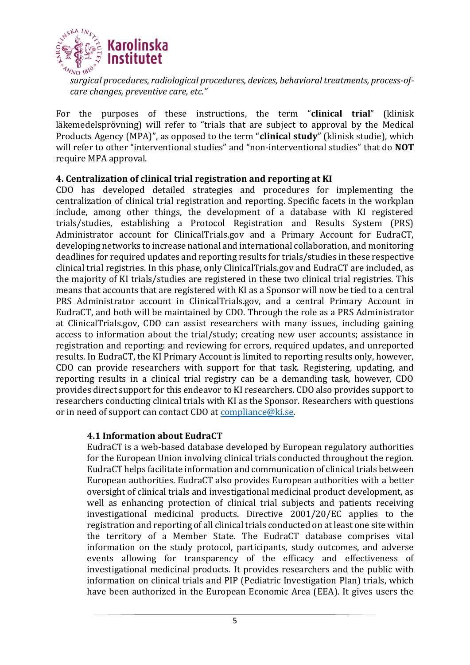

*surgical procedures, radiological procedures, devices, behavioral treatments, process-ofcare changes, preventive care, etc."*

For the purposes of these instructions, the term "**clinical trial**" (klinisk läkemedelsprövning) will refer to "trials that are subject to approval by the Medical Products Agency (MPA)", as opposed to the term "**clinical study**" (klinisk studie), which will refer to other "interventional studies" and "non-interventional studies" that do **NOT** require MPA approval.

#### <span id="page-4-0"></span>**4. Centralization of clinical trial registration and reporting at KI**

CDO has developed detailed strategies and procedures for implementing the centralization of clinical trial registration and reporting. Specific facets in the workplan include, among other things, the development of a database with KI registered trials/studies, establishing a Protocol Registration and Results System (PRS) Administrator account for ClinicalTrials.gov and a Primary Account for EudraCT, developing networks to increase national and international collaboration, and monitoring deadlines for required updates and reporting results for trials/studies in these respective clinical trial registries. In this phase, only ClinicalTrials.gov and EudraCT are included, as the majority of KI trials/studies are registered in these two clinical trial registries. This means that accounts that are registered with KI as a Sponsor will now be tied to a central PRS Administrator account in ClinicalTrials.gov, and a central Primary Account in EudraCT, and both will be maintained by CDO. Through the role as a PRS Administrator at ClinicalTrials.gov, CDO can assist researchers with many issues, including gaining access to information about the trial/study; creating new user accounts; assistance in registration and reporting: and reviewing for errors, required updates, and unreported results. In EudraCT, the KI Primary Account is limited to reporting results only, however, CDO can provide researchers with support for that task. Registering, updating, and reporting results in a clinical trial registry can be a demanding task, however, CDO provides direct support for this endeavor to KI researchers. CDO also provides support to researchers conducting clinical trials with KI as the Sponsor. Researchers with questions or in need of support can contact CDO at [compliance@ki.se.](mailto:compliance@ki.se)

#### <span id="page-4-1"></span>**4.1 Information about EudraCT**

EudraCT is a web-based database developed by European regulatory authorities for the European Union involving clinical trials conducted throughout the region. EudraCT helps facilitate information and communication of clinical trials between European authorities. EudraCT also provides European authorities with a better oversight of clinical trials and investigational medicinal product development, as well as enhancing protection of clinical trial subjects and patients receiving investigational medicinal products. Directive 2001/20/EC applies to the registration and reporting of all clinical trials conducted on at least one site within the territory of a Member State. The EudraCT database comprises vital information on the study protocol, participants, study outcomes, and adverse events allowing for transparency of the efficacy and effectiveness of investigational medicinal products. It provides researchers and the public with information on clinical trials and PIP (Pediatric Investigation Plan) trials, which have been authorized in the European Economic Area (EEA). It gives users the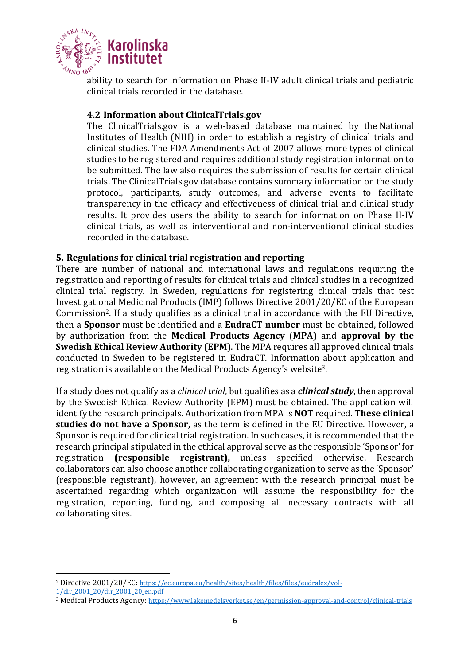

ability to search for information on Phase II-IV adult clinical trials and pediatric clinical trials recorded in the database.

#### <span id="page-5-0"></span>**4.2 Information about ClinicalTrials.gov**

The ClinicalTrials.gov is a web-based database maintained by the National Institutes of Health (NIH) in order to establish a registry of clinical trials and clinical studies. The FDA Amendments Act of 2007 allows more types of clinical studies to be registered and requires additional study registration information to be submitted. The law also requires the submission of results for certain clinical trials. The ClinicalTrials.gov database contains summary information on the study protocol, participants, study outcomes, and adverse events to facilitate transparency in the efficacy and effectiveness of clinical trial and clinical study results. It provides users the ability to search for information on Phase II-IV clinical trials, as well as interventional and non-interventional clinical studies recorded in the database.

#### <span id="page-5-1"></span>**5. Regulations for clinical trial registration and reporting**

There are number of national and international laws and regulations requiring the registration and reporting of results for clinical trials and clinical studies in a recognized clinical trial registry. In Sweden, regulations for registering clinical trials that test Investigational Medicinal Products (IMP) follows Directive 2001/20/EC of the European Commission2. If a study qualifies as a clinical trial in accordance with the EU Directive, then a **Sponsor** must be identified and a **EudraCT number** must be obtained, followed by authorization from the **Medical Products Agency** (**MPA)** and **approval by the Swedish Ethical Review Authority (EPM**). The MPA requires all approved clinical trials conducted in Sweden to be registered in EudraCT. Information about application and registration is available on the Medical Products Agency's website3.

If a study does not qualify as a *clinical trial*, but qualifies as a *clinical study*, then approval by the Swedish Ethical Review Authority (EPM) must be obtained. The application will identify the research principals. Authorization from MPA is **NOT** required. **These clinical studies do not have a Sponsor,** as the term is defined in the EU Directive. However, a Sponsor is required for clinical trial registration. In such cases, it is recommended that the research principal stipulated in the ethical approval serve as the responsible 'Sponsor' for registration **(responsible registrant),** unless specified otherwise. Research collaborators can also choose another collaborating organization to serve as the 'Sponsor' (responsible registrant), however, an agreement with the research principal must be ascertained regarding which organization will assume the responsibility for the registration, reporting, funding, and composing all necessary contracts with all collaborating sites.

[1/dir\\_2001\\_20/dir\\_2001\\_20\\_en.pdf](https://ec.europa.eu/health/sites/health/files/files/eudralex/vol-1/dir_2001_20/dir_2001_20_en.pdf)

<sup>2</sup> Directive 2001/20/EC: [https://ec.europa.eu/health/sites/health/files/files/eudralex/vol-](https://ec.europa.eu/health/sites/health/files/files/eudralex/vol-1/dir_2001_20/dir_2001_20_en.pdf)

<sup>3</sup> Medical Products Agency: <https://www.lakemedelsverket.se/en/permission-approval-and-control/clinical-trials>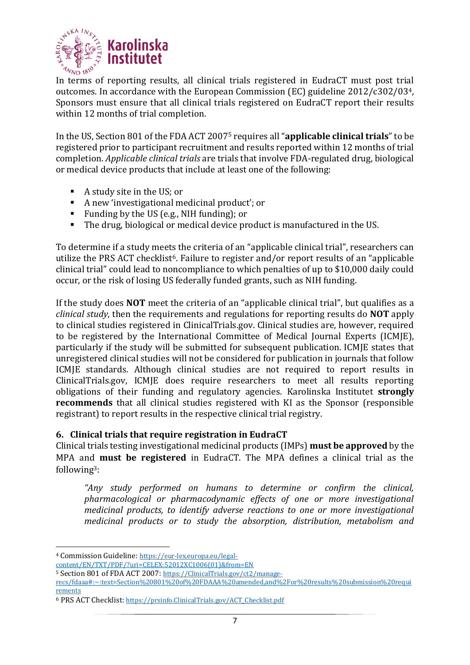

In terms of reporting results, all clinical trials registered in EudraCT must post trial outcomes. In accordance with the European Commission (EC) guideline 2012/c302/034, Sponsors must ensure that all clinical trials registered on EudraCT report their results within 12 months of trial completion.

In the US, Section 801 of the FDA ACT 2007<sup>5</sup> requires all "**applicable clinical trials**" to be registered prior to participant recruitment and results reported within 12 months of trial completion. *Applicable clinical trials* are trials that involve FDA-regulated drug, biological or medical device products that include at least one of the following:

- A study site in the US; or
- A new 'investigational medicinal product'; or
- Funding by the US (e.g., NIH funding); or
- The drug, biological or medical device product is manufactured in the US.

To determine if a study meets the criteria of an "applicable clinical trial", researchers can utilize the PRS ACT checklist<sup>6</sup>. Failure to register and/or report results of an "applicable clinical trial" could lead to noncompliance to which penalties of up to \$10,000 daily could occur, or the risk of losing US federally funded grants, such as NIH funding.

If the study does **NOT** meet the criteria of an "applicable clinical trial", but qualifies as a *clinical study*, then the requirements and regulations for reporting results do **NOT** apply to clinical studies registered in ClinicalTrials.gov. Clinical studies are, however, required to be registered by the International Committee of Medical Journal Experts (ICMJE), particularly if the study will be submitted for subsequent publication. ICMJE states that unregistered clinical studies will not be considered for publication in journals that follow ICMJE standards. Although clinical studies are not required to report results in ClinicalTrials.gov, ICMJE does require researchers to meet all results reporting obligations of their funding and regulatory agencies. Karolinska Institutet **strongly recommends** that all clinical studies registered with KI as the Sponsor (responsible registrant) to report results in the respective clinical trial registry.

#### <span id="page-6-0"></span>**6. Clinical trials that require registration in EudraCT**

Clinical trials testing investigational medicinal products (IMPs) **must be approved** by the MPA and **must be registered** in EudraCT. The MPA defines a clinical trial as the following3:

*"Any study performed on humans to determine or confirm the clinical, pharmacological or pharmacodynamic effects of one or more investigational medicinal products, to identify adverse reactions to one or more investigational medicinal products or to study the absorption, distribution, metabolism and* 

<sup>4</sup> Commission Guideline: [https://eur-lex.europa.eu/legal-](https://eur-lex.europa.eu/legal-content/EN/TXT/PDF/?uri=CELEX:52012XC1006(01)&from=EN)

[content/EN/TXT/PDF/?uri=CELEX:52012XC1006\(01\)&from=EN](https://eur-lex.europa.eu/legal-content/EN/TXT/PDF/?uri=CELEX:52012XC1006(01)&from=EN)

<sup>5</sup> Section 801 of FDA ACT 2007: [https://ClinicalTrials.gov/ct2/manage-](https://clinicaltrials.gov/ct2/manage-recs/fdaaa#:~:text=Section%20801%20of%20FDAAA%20amended,and%2For%20results%20submission%20requirements)

[recs/fdaaa#:~:text=Section%20801%20of%20FDAAA%20amended,and%2For%20results%20submission%20requi](https://clinicaltrials.gov/ct2/manage-recs/fdaaa#:~:text=Section%20801%20of%20FDAAA%20amended,and%2For%20results%20submission%20requirements) [rements](https://clinicaltrials.gov/ct2/manage-recs/fdaaa#:~:text=Section%20801%20of%20FDAAA%20amended,and%2For%20results%20submission%20requirements)

<sup>6</sup> PRS ACT Checklist: [https://prsinfo.ClinicalTrials.gov/ACT\\_Checklist.pdf](https://prsinfo.clinicaltrials.gov/ACT_Checklist.pdf)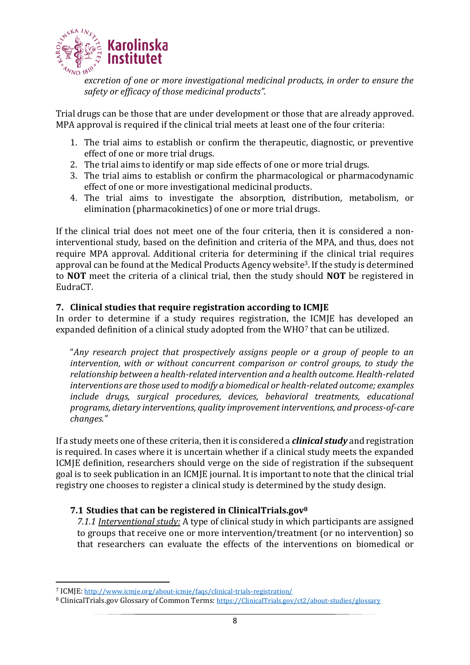

*excretion of one or more investigational medicinal products, in order to ensure the safety or efficacy of those medicinal products".*

Trial drugs can be those that are under development or those that are already approved. MPA approval is required if the clinical trial meets at least one of the four criteria:

- 1. The trial aims to establish or confirm the therapeutic, diagnostic, or preventive effect of one or more trial drugs.
- 2. The trial aims to identify or map side effects of one or more trial drugs.
- 3. The trial aims to establish or confirm the pharmacological or pharmacodynamic effect of one or more investigational medicinal products.
- 4. The trial aims to investigate the absorption, distribution, metabolism, or elimination (pharmacokinetics) of one or more trial drugs.

If the clinical trial does not meet one of the four criteria, then it is considered a noninterventional study, based on the definition and criteria of the MPA, and thus, does not require MPA approval. Additional criteria for determining if the clinical trial requires approval can be found at the Medical Products Agency website3. If the study is determined to **NOT** meet the criteria of a clinical trial, then the study should **NOT** be registered in EudraCT.

## <span id="page-7-0"></span>**7. Clinical studies that require registration according to ICMJE**

In order to determine if a study requires registration, the ICMJE has developed an expanded definition of a clinical study adopted from the WHO<sup>7</sup> that can be utilized.

"*Any research project that prospectively assigns people or a group of people to an intervention, with or without concurrent comparison or control groups, to study the relationship between a health-related intervention and a health outcome. Health-related interventions are those used to modify a biomedical or health-related outcome; examples include drugs, surgical procedures, devices, behavioral treatments, educational programs, dietary interventions, quality improvement interventions, and process-of-care changes."*

If a study meets one of these criteria, then it is considered a *clinical study* and registration is required. In cases where it is uncertain whether if a clinical study meets the expanded ICMJE definition, researchers should verge on the side of registration if the subsequent goal is to seek publication in an ICMJE journal. It is important to note that the clinical trial registry one chooses to register a clinical study is determined by the study design.

## <span id="page-7-2"></span>**7.1 Studies that can be registered in ClinicalTrials.gov<sup>8</sup>**

<span id="page-7-1"></span>*7.1.1 Interventional study:* A type of clinical study in which participants are assigned to groups that receive one or more intervention/treatment (or no intervention) so that researchers can evaluate the effects of the interventions on biomedical or

<sup>7</sup> ICMJE: <http://www.icmje.org/about-icmje/faqs/clinical-trials-registration/>

<sup>8</sup> ClinicalTrials.gov Glossary of Common Terms: [https://ClinicalTrials.gov/ct2/about-studies/glossary](https://clinicaltrials.gov/ct2/about-studies/glossary)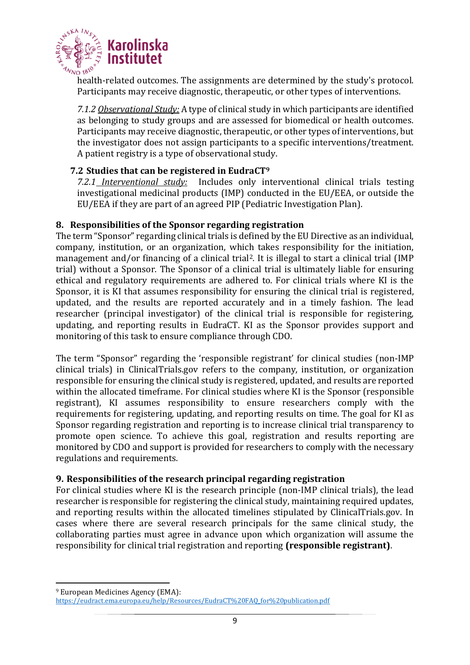

health-related outcomes. The assignments are determined by the study's protocol. Participants may receive diagnostic, therapeutic, or other types of interventions.

<span id="page-8-0"></span>*7.1.2 Observational Study:* A type of clinical study in which participants are identified as belonging to study groups and are assessed for biomedical or health outcomes. Participants may receive diagnostic, therapeutic, or other types of interventions, but the investigator does not assign participants to a specific interventions/treatment. A patient registry is a type of observational study.

## <span id="page-8-2"></span>**7.2 Studies that can be registered in EudraCT<sup>9</sup>**

<span id="page-8-1"></span>*7.2.1 Interventional study:* Includes only interventional clinical trials testing investigational medicinal products (IMP) conducted in the EU/EEA, or outside the EU/EEA if they are part of an agreed PIP (Pediatric Investigation Plan).

#### <span id="page-8-3"></span>**8. Responsibilities of the Sponsor regarding registration**

The term "Sponsor" regarding clinical trials is defined by the EU Directive as an individual, company, institution, or an organization, which takes responsibility for the initiation, management and/or financing of a clinical trial<sup>2</sup>. It is illegal to start a clinical trial (IMP trial) without a Sponsor. The Sponsor of a clinical trial is ultimately liable for ensuring ethical and regulatory requirements are adhered to. For clinical trials where KI is the Sponsor, it is KI that assumes responsibility for ensuring the clinical trial is registered, updated, and the results are reported accurately and in a timely fashion. The lead researcher (principal investigator) of the clinical trial is responsible for registering, updating, and reporting results in EudraCT. KI as the Sponsor provides support and monitoring of this task to ensure compliance through CDO.

The term "Sponsor" regarding the 'responsible registrant' for clinical studies (non-IMP clinical trials) in ClinicalTrials.gov refers to the company, institution, or organization responsible for ensuring the clinical study is registered, updated, and results are reported within the allocated timeframe. For clinical studies where KI is the Sponsor (responsible registrant), KI assumes responsibility to ensure researchers comply with the requirements for registering, updating, and reporting results on time. The goal for KI as Sponsor regarding registration and reporting is to increase clinical trial transparency to promote open science. To achieve this goal, registration and results reporting are monitored by CDO and support is provided for researchers to comply with the necessary regulations and requirements.

## <span id="page-8-4"></span>**9. Responsibilities of the research principal regarding registration**

For clinical studies where KI is the research principle (non-IMP clinical trials), the lead researcher is responsible for registering the clinical study, maintaining required updates, and reporting results within the allocated timelines stipulated by ClinicalTrials.gov. In cases where there are several research principals for the same clinical study, the collaborating parties must agree in advance upon which organization will assume the responsibility for clinical trial registration and reporting **(responsible registrant)**.

<sup>9</sup> European Medicines Agency (EMA): [https://eudract.ema.europa.eu/help/Resources/EudraCT%20FAQ\\_for%20publication.pdf](https://eudract.ema.europa.eu/help/Resources/EudraCT%20FAQ_for%20publication.pdf)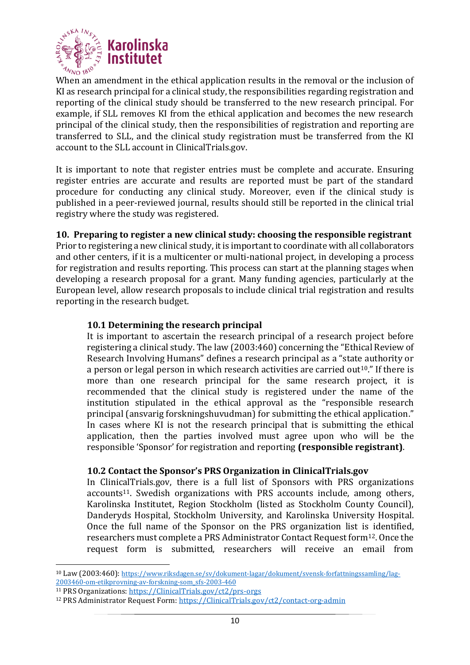

When an amendment in the ethical application results in the removal or the inclusion of KI as research principal for a clinical study, the responsibilities regarding registration and reporting of the clinical study should be transferred to the new research principal. For example, if SLL removes KI from the ethical application and becomes the new research principal of the clinical study, then the responsibilities of registration and reporting are transferred to SLL, and the clinical study registration must be transferred from the KI account to the SLL account in ClinicalTrials.gov.

It is important to note that register entries must be complete and accurate. Ensuring register entries are accurate and results are reported must be part of the standard procedure for conducting any clinical study. Moreover, even if the clinical study is published in a peer-reviewed journal, results should still be reported in the clinical trial registry where the study was registered.

## <span id="page-9-0"></span>**10. Preparing to register a new clinical study: choosing the responsible registrant**

Prior to registering a new clinical study, it is important to coordinate with all collaborators and other centers, if it is a multicenter or multi-national project, in developing a process for registration and results reporting. This process can start at the planning stages when developing a research proposal for a grant. Many funding agencies, particularly at the European level, allow research proposals to include clinical trial registration and results reporting in the research budget.

#### <span id="page-9-1"></span>**10.1 Determining the research principal**

It is important to ascertain the research principal of a research project before registering a clinical study. The law (2003:460) concerning the "Ethical Review of Research Involving Humans" defines a research principal as a "state authority or a person or legal person in which research activities are carried out<sup>10</sup>." If there is more than one research principal for the same research project, it is recommended that the clinical study is registered under the name of the institution stipulated in the ethical approval as the "responsible research principal (ansvarig forskningshuvudman) for submitting the ethical application." In cases where KI is not the research principal that is submitting the ethical application, then the parties involved must agree upon who will be the responsible 'Sponsor' for registration and reporting **(responsible registrant)**.

#### <span id="page-9-2"></span>**10.2 Contact the Sponsor's PRS Organization in ClinicalTrials.gov**

In ClinicalTrials.gov, there is a full list of Sponsors with PRS organizations accounts<sup>11</sup>. Swedish organizations with PRS accounts include, among others, Karolinska Institutet, Region Stockholm (listed as Stockholm County Council), Danderyds Hospital, Stockholm University, and Karolinska University Hospital. Once the full name of the Sponsor on the PRS organization list is identified, researchers must complete a PRS Administrator Contact Request form12. Once the request form is submitted, researchers will receive an email from

<sup>10</sup> Law (2003:460): [https://www.riksdagen.se/sv/dokument-lagar/dokument/svensk-forfattningssamling/lag-](https://www.riksdagen.se/sv/dokument-lagar/dokument/svensk-forfattningssamling/lag-2003460-om-etikprovning-av-forskning-som_sfs-2003-460)[2003460-om-etikprovning-av-forskning-som\\_sfs-2003-460](https://www.riksdagen.se/sv/dokument-lagar/dokument/svensk-forfattningssamling/lag-2003460-om-etikprovning-av-forskning-som_sfs-2003-460)

<sup>11</sup> PRS Organizations: [https://ClinicalTrials.gov/ct2/prs-orgs](https://clinicaltrials.gov/ct2/prs-orgs)

<sup>12</sup> PRS Administrator Request Form: [https://ClinicalTrials.gov/ct2/contact-org-admin](https://clinicaltrials.gov/ct2/contact-org-admin)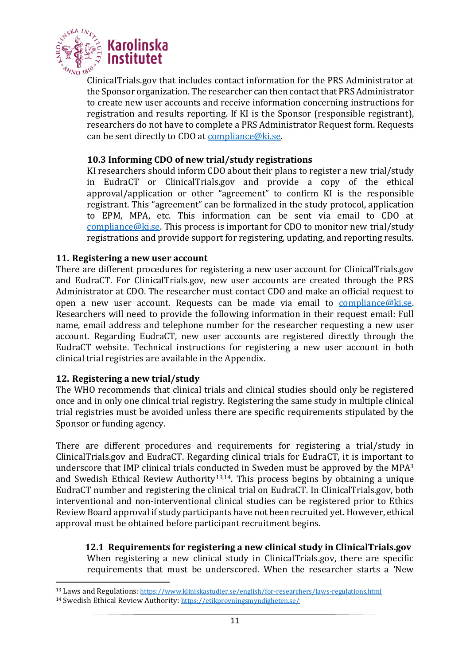

ClinicalTrials.gov that includes contact information for the PRS Administrator at the Sponsor organization. The researcher can then contact that PRS Administrator to create new user accounts and receive information concerning instructions for registration and results reporting. If KI is the Sponsor (responsible registrant), researchers do not have to complete a PRS Administrator Request form. Requests can be sent directly to CDO at [compliance@ki.se.](mailto:compliance@ki.se)

#### <span id="page-10-0"></span>**10.3 Informing CDO of new trial/study registrations**

KI researchers should inform CDO about their plans to register a new trial/study in EudraCT or ClinicalTrials.gov and provide a copy of the ethical approval/application or other "agreement" to confirm KI is the responsible registrant. This "agreement" can be formalized in the study protocol, application to EPM, MPA, etc. This information can be sent via email to CDO at [compliance@ki.se.](mailto:compliance@ki.se) This process is important for CDO to monitor new trial/study registrations and provide support for registering, updating, and reporting results.

#### <span id="page-10-1"></span>**11. Registering a new user account**

There are different procedures for registering a new user account for ClinicalTrials.gov and EudraCT. For ClinicalTrials.gov, new user accounts are created through the PRS Administrator at CDO. The researcher must contact CDO and make an official request to open a new user account. Requests can be made via email to [compliance@ki.se.](mailto:compliance@ki.se) Researchers will need to provide the following information in their request email: Full name, email address and telephone number for the researcher requesting a new user account. Regarding EudraCT, new user accounts are registered directly through the EudraCT website. Technical instructions for registering a new user account in both clinical trial registries are available in the Appendix.

#### <span id="page-10-2"></span>**12. Registering a new trial/study**

The WHO recommends that clinical trials and clinical studies should only be registered once and in only one clinical trial registry. Registering the same study in multiple clinical trial registries must be avoided unless there are specific requirements stipulated by the Sponsor or funding agency.

There are different procedures and requirements for registering a trial/study in ClinicalTrials.gov and EudraCT. Regarding clinical trials for EudraCT, it is important to underscore that IMP clinical trials conducted in Sweden must be approved by the MPA<sup>3</sup> and Swedish Ethical Review Authority<sup>13,14</sup>. This process begins by obtaining a unique EudraCT number and registering the clinical trial on EudraCT. In ClinicalTrials.gov, both interventional and non-interventional clinical studies can be registered prior to Ethics Review Board approval if study participants have not been recruited yet. However, ethical approval must be obtained before participant recruitment begins.

<span id="page-10-3"></span> **12.1 Requirements for registering a new clinical study in ClinicalTrials.gov** When registering a new clinical study in ClinicalTrials.gov, there are specific requirements that must be underscored. When the researcher starts a 'New

<sup>13</sup> Laws and Regulations:<https://www.kliniskastudier.se/english/for-researchers/laws-regulations.html>

<sup>14</sup> Swedish Ethical Review Authority: <https://etikprovningsmyndigheten.se/>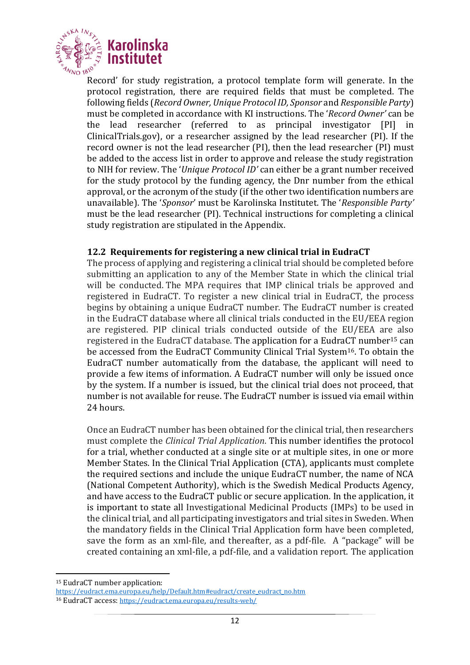

Record' for study registration, a protocol template form will generate. In the protocol registration, there are required fields that must be completed. The following fields (*Record Owner, Unique Protocol ID, Sponsor* and *Responsible Party*) must be completed in accordance with KI instructions. The '*Record Owner'* can be the lead researcher (referred to as principal investigator [PI] in ClinicalTrials.gov), or a researcher assigned by the lead researcher (PI). If the record owner is not the lead researcher (PI), then the lead researcher (PI) must be added to the access list in order to approve and release the study registration to NIH for review. The '*Unique Protocol ID'* can either be a grant number received for the study protocol by the funding agency, the Dnr number from the ethical approval, or the acronym of the study (if the other two identification numbers are unavailable). The '*Sponsor*' must be Karolinska Institutet. The '*Responsible Party'* must be the lead researcher (PI). Technical instructions for completing a clinical study registration are stipulated in the Appendix.

## <span id="page-11-0"></span>**12.2 Requirements for registering a new clinical trial in EudraCT**

The process of applying and registering a clinical trial should be completed before submitting an application to any of the Member State in which the clinical trial will be conducted. The MPA requires that IMP clinical trials be approved and registered in EudraCT. To register a new clinical trial in EudraCT, the process begins by obtaining a unique EudraCT number. The EudraCT number is created in the EudraCT database where all clinical trials conducted in the EU/EEA region are registered. PIP clinical trials conducted outside of the EU/EEA are also registered in the EudraCT database. The application for a EudraCT number<sup>15</sup> can be accessed from the EudraCT Community Clinical Trial System16. To obtain the EudraCT number automatically from the database, the applicant will need to provide a few items of information. A EudraCT number will only be issued once by the system. If a number is issued, but the clinical trial does not proceed, that number is not available for reuse. The EudraCT number is issued via email within 24 hours.

Once an EudraCT number has been obtained for the clinical trial, then researchers must complete the *Clinical Trial Application*. This number identifies the protocol for a trial, whether conducted at a single site or at multiple sites, in one or more Member States. In the Clinical Trial Application (CTA), applicants must complete the required sections and include the unique EudraCT number, the name of NCA (National Competent Authority), which is the Swedish Medical Products Agency, and have access to the EudraCT public or secure application. In the application, it is important to state all Investigational Medicinal Products (IMPs) to be used in the clinical trial, and all participating investigators and trial sites in Sweden. When the mandatory fields in the Clinical Trial Application form have been completed, save the form as an xml-file, and thereafter, as a pdf-file. A "package" will be created containing an xml-file, a pdf-file, and a validation report. The application

<sup>15</sup> EudraCT number application:

[https://eudract.ema.europa.eu/help/Default.htm#eudract/create\\_eudract\\_no.htm](https://eudract.ema.europa.eu/help/Default.htm#eudract/create_eudract_no.htm)

<sup>16</sup> EudraCT access: <https://eudract.ema.europa.eu/results-web/>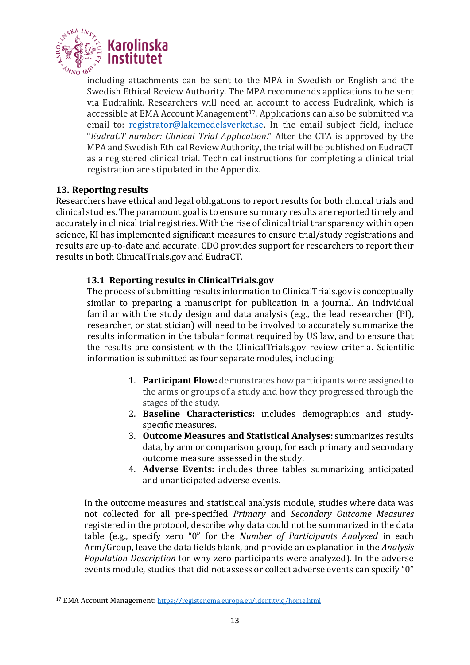

including attachments can be sent to the MPA in Swedish or English and the Swedish Ethical Review Authority. The MPA recommends applications to be sent via Eudralink. Researchers will need an account to access Eudralink, which is accessible at EMA Account Management<sup>17</sup>. Applications can also be submitted via email to: [registrator@lakemedelsverket.se.](mailto:registrator@lakemedelsverket.se) In the email subject field, include "*EudraCT number: Clinical Trial Application*." After the CTA is approved by the MPA and Swedish Ethical Review Authority, the trial will be published on EudraCT as a registered clinical trial. Technical instructions for completing a clinical trial registration are stipulated in the Appendix.

## <span id="page-12-0"></span>**13. Reporting results**

Researchers have ethical and legal obligations to report results for both clinical trials and clinical studies. The paramount goal is to ensure summary results are reported timely and accurately in clinical trial registries. With the rise of clinical trial transparency within open science, KI has implemented significant measures to ensure trial/study registrations and results are up-to-date and accurate. CDO provides support for researchers to report their results in both ClinicalTrials.gov and EudraCT.

## <span id="page-12-1"></span>**13.1 Reporting results in ClinicalTrials.gov**

The process of submitting results information to ClinicalTrials.gov is conceptually similar to preparing a manuscript for publication in a journal. An individual familiar with the study design and data analysis (e.g., the lead researcher (PI), researcher, or statistician) will need to be involved to accurately summarize the results information in the tabular format required by US law, and to ensure that the results are consistent with the ClinicalTrials.gov review criteria. Scientific information is submitted as four separate modules, including:

- 1. **Participant Flow:** demonstrates how participants were assigned to the arms or groups of a study and how they progressed through the stages of the study.
- 2. **Baseline Characteristics:** includes demographics and studyspecific measures.
- 3. **Outcome Measures and Statistical Analyses:** summarizes results data, by arm or comparison group, for each primary and secondary outcome measure assessed in the study.
- 4. **Adverse Events:** includes three tables summarizing anticipated and unanticipated adverse events.

In the outcome measures and statistical analysis module, studies where data was not collected for all pre-specified *Primary* and *Secondary Outcome Measures* registered in the protocol, describe why data could not be summarized in the data table (e.g., specify zero "0" for the *Number of Participants Analyzed* in each Arm/Group, leave the data fields blank, and provide an explanation in the *Analysis Population Description* for why zero participants were analyzed). In the adverse events module, studies that did not assess or collect adverse events can specify "0"

<sup>17</sup> EMA Account Management: <https://register.ema.europa.eu/identityiq/home.html>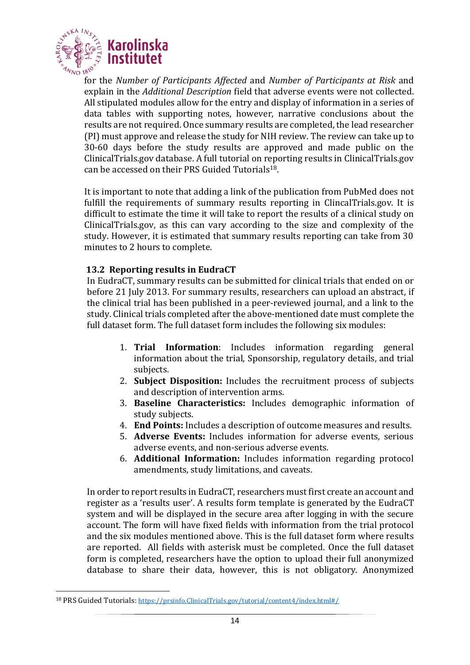

for the *Number of Participants Affected* and *Number of Participants at Risk* and explain in the *Additional Description* field that adverse events were not collected. All stipulated modules allow for the entry and display of information in a series of data tables with supporting notes, however, narrative conclusions about the results are not required. Once summary results are completed, the lead researcher (PI) must approve and release the study for NIH review. The review can take up to 30-60 days before the study results are approved and made public on the ClinicalTrials.gov database. A full tutorial on reporting results in ClinicalTrials.gov can be accessed on their PRS Guided Tutorials18.

It is important to note that adding a link of the publication from PubMed does not fulfill the requirements of summary results reporting in ClincalTrials.gov. It is difficult to estimate the time it will take to report the results of a clinical study on ClinicalTrials.gov, as this can vary according to the size and complexity of the study. However, it is estimated that summary results reporting can take from 30 minutes to 2 hours to complete.

#### <span id="page-13-0"></span>**13.2 Reporting results in EudraCT**

In EudraCT, summary results can be submitted for clinical trials that ended on or before 21 July 2013. For summary results, researchers can upload an abstract, if the clinical trial has been published in a peer-reviewed journal, and a link to the study. Clinical trials completed after the above-mentioned date must complete the full dataset form. The full dataset form includes the following six modules:

- 1. **Trial Information**: Includes information regarding general information about the trial, Sponsorship, regulatory details, and trial subjects.
- 2. **Subject Disposition:** Includes the recruitment process of subjects and description of intervention arms.
- 3. **Baseline Characteristics:** Includes demographic information of study subjects.
- 4. **End Points:** Includes a description of outcome measures and results.
- 5. **Adverse Events:** Includes information for adverse events, serious adverse events, and non-serious adverse events.
- 6. **Additional Information:** Includes information regarding protocol amendments, study limitations, and caveats.

In order to report results in EudraCT, researchers must first create an account and register as a 'results user'. A results form template is generated by the EudraCT system and will be displayed in the secure area after logging in with the secure account. The form will have fixed fields with information from the trial protocol and the six modules mentioned above. This is the full dataset form where results are reported. All fields with asterisk must be completed. Once the full dataset form is completed, researchers have the option to upload their full anonymized database to share their data, however, this is not obligatory. Anonymized

<sup>18</sup> PRS Guided Tutorials: [https://prsinfo.ClinicalTrials.gov/tutorial/content4/index.html#/](https://prsinfo.clinicaltrials.gov/tutorial/content4/index.html#/)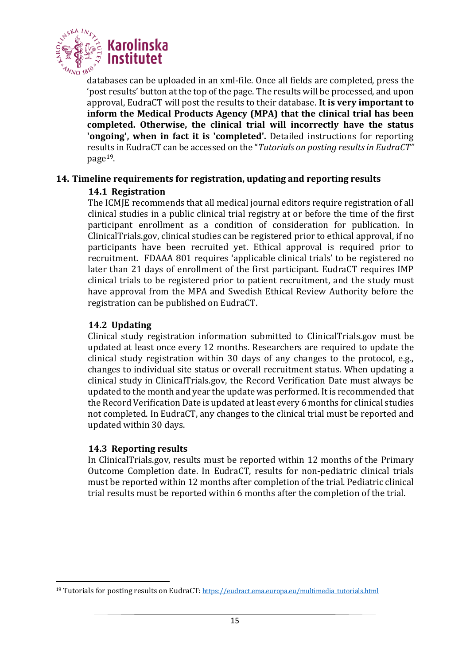

databases can be uploaded in an xml-file. Once all fields are completed, press the 'post results' button at the top of the page. The results will be processed, and upon approval, EudraCT will post the results to their database. **It is very important to inform the Medical Products Agency (MPA) that the clinical trial has been completed. Otherwise, the clinical trial will incorrectly have the status 'ongoing', when in fact it is 'completed'.** Detailed instructions for reporting results in EudraCT can be accessed on the "*Tutorials on posting results in EudraCT"* page19.

## <span id="page-14-0"></span>**14. Timeline requirements for registration, updating and reporting results**

## <span id="page-14-1"></span>**14.1 Registration**

The ICMJE recommends that all medical journal editors require registration of all clinical studies in a public clinical trial registry at or before the time of the first participant enrollment as a condition of consideration for publication. In ClinicalTrials.gov, clinical studies can be registered prior to ethical approval, if no participants have been recruited yet. Ethical approval is required prior to recruitment. FDAAA 801 requires 'applicable clinical trials' to be registered no later than 21 days of enrollment of the first participant. EudraCT requires IMP clinical trials to be registered prior to patient recruitment, and the study must have approval from the MPA and Swedish Ethical Review Authority before the registration can be published on EudraCT.

## <span id="page-14-2"></span>**14.2 Updating**

Clinical study registration information submitted to ClinicalTrials.gov must be updated at least once every 12 months. Researchers are required to update the clinical study registration within 30 days of any changes to the protocol, e.g., changes to individual site status or overall recruitment status. When updating a clinical study in ClinicalTrials.gov, the Record Verification Date must always be updated to the month and year the update was performed. It is recommended that the Record Verification Date is updated at least every 6 months for clinical studies not completed. In EudraCT, any changes to the clinical trial must be reported and updated within 30 days.

## <span id="page-14-3"></span>**14.3 Reporting results**

In ClinicalTrials.gov, results must be reported within 12 months of the Primary Outcome Completion date. In EudraCT, results for non-pediatric clinical trials must be reported within 12 months after completion of the trial. Pediatric clinical trial results must be reported within 6 months after the completion of the trial.

<sup>&</sup>lt;sup>19</sup> Tutorials for posting results on EudraCT: [https://eudract.ema.europa.eu/multimedia\\_tutorials.html](https://eudract.ema.europa.eu/multimedia_tutorials.html)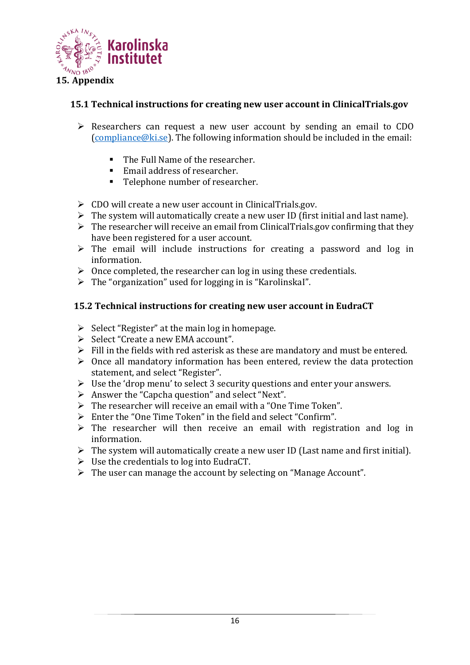

## <span id="page-15-1"></span><span id="page-15-0"></span>**15.1 Technical instructions for creating new user account in ClinicalTrials.gov**

- ➢ Researchers can request a new user account by sending an email to CDO [\(compliance@ki.se\)](mailto:compliance@ki.se). The following information should be included in the email:
	- The Full Name of the researcher.
	- Email address of researcher.
	- Telephone number of researcher.
- ➢ CDO will create a new user account in ClinicalTrials.gov.
- $\triangleright$  The system will automatically create a new user ID (first initial and last name).
- $\triangleright$  The researcher will receive an email from ClinicalTrials.gov confirming that they have been registered for a user account.
- $\triangleright$  The email will include instructions for creating a password and log in information.
- $\triangleright$  Once completed, the researcher can log in using these credentials.
- $\triangleright$  The "organization" used for logging in is "Karolinskal".

#### <span id="page-15-2"></span>**15.2 Technical instructions for creating new user account in EudraCT**

- $\triangleright$  Select "Register" at the main log in homepage.
- ➢ Select "Create a new EMA account".
- $\triangleright$  Fill in the fields with red asterisk as these are mandatory and must be entered.
- $\triangleright$  Once all mandatory information has been entered, review the data protection statement, and select "Register".
- ➢ Use the 'drop menu' to select 3 security questions and enter your answers.
- ➢ Answer the "Capcha question" and select "Next".
- ➢ The researcher will receive an email with a "One Time Token".
- ➢ Enter the "One Time Token" in the field and select "Confirm".
- $\triangleright$  The researcher will then receive an email with registration and log in information.
- $\triangleright$  The system will automatically create a new user ID (Last name and first initial).
- $\triangleright$  Use the credentials to log into EudraCT.
- ➢ The user can manage the account by selecting on "Manage Account".